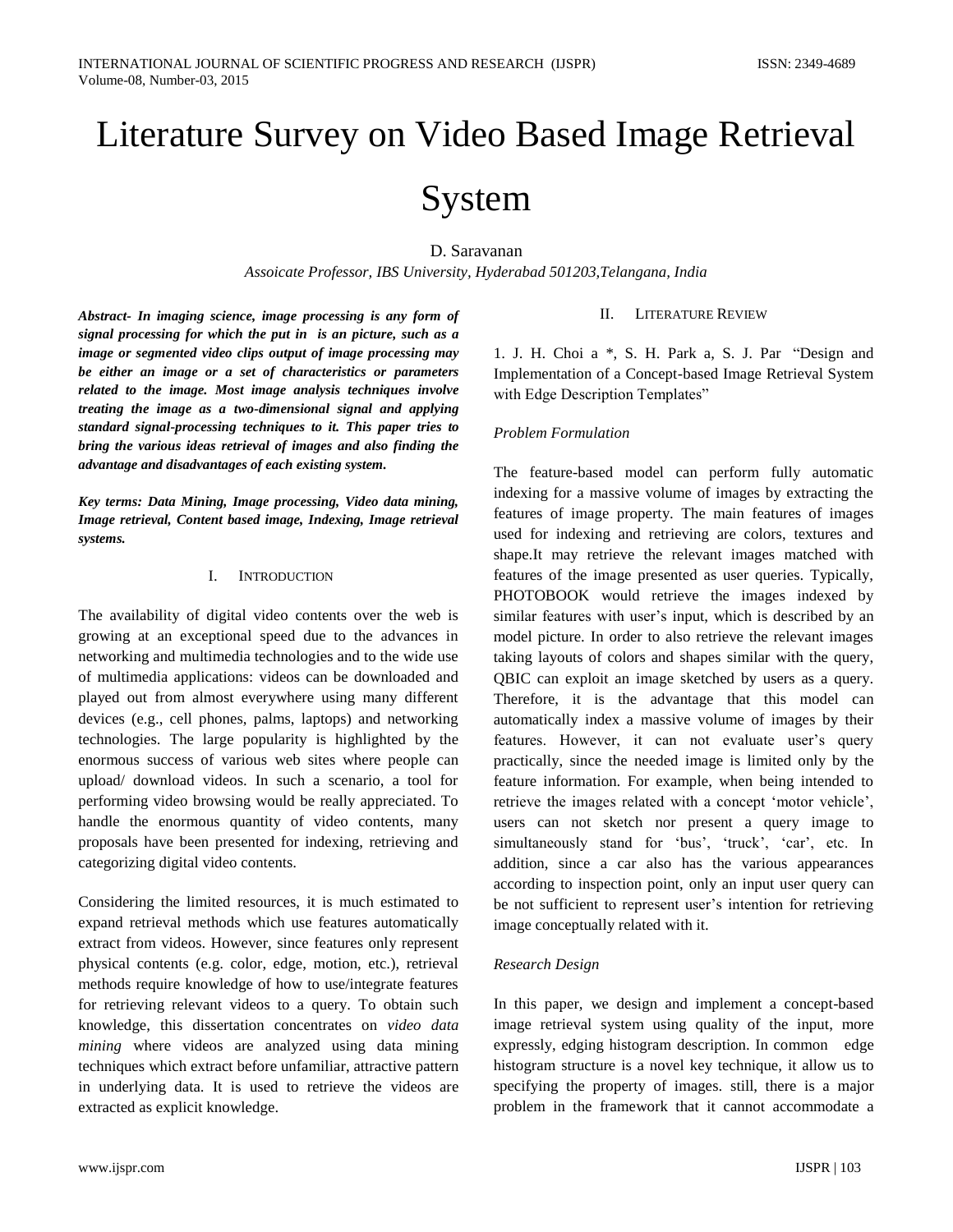# Literature Survey on Video Based Image Retrieval

# System

D. Saravanan

*Assoicate Professor, IBS University, Hyderabad 501203,Telangana, India*

*Abstract- In [imaging science,](http://en.wikipedia.org/wiki/Imaging_science) image processing is any form of [signal processing](http://en.wikipedia.org/wiki/Signal_processing) for which the put in is an picture, such as a [image](http://en.wikipedia.org/wiki/Photograph) or segmented video clips [output](http://en.wikipedia.org/wiki/Output) of image processing may be either an image or a set of characteristics or [parameters](http://en.wikipedia.org/wiki/Parameter) related to the image. Most image analysis techniques involve treating the image as a [two-dimensional](http://en.wikipedia.org/wiki/Two-dimensional) [signal](http://en.wikipedia.org/wiki/Signal_%28electrical_engineering%29) and applying standard signal-processing techniques to it. This paper tries to bring the various ideas retrieval of images and also finding the advantage and disadvantages of each existing system.*

*Key terms: Data Mining, Image processing, Video data mining, Image retrieval, Content based image, Indexing, Image retrieval systems.* 

# I. INTRODUCTION

The availability of digital video contents over the web is growing at an exceptional speed due to the advances in networking and multimedia technologies and to the wide use of multimedia applications: videos can be downloaded and played out from almost everywhere using many different devices (e.g., cell phones, palms, laptops) and networking technologies. The large popularity is highlighted by the enormous success of various web sites where people can upload/ download videos. In such a scenario, a tool for performing video browsing would be really appreciated. To handle the enormous quantity of video contents, many proposals have been presented for indexing, retrieving and categorizing digital video contents.

Considering the limited resources, it is much estimated to expand retrieval methods which use features automatically extract from videos. However, since features only represent physical contents (e.g. color, edge, motion, etc.), retrieval methods require knowledge of how to use/integrate features for retrieving relevant videos to a query. To obtain such knowledge, this dissertation concentrates on *video data mining* where videos are analyzed using data mining techniques which extract before unfamiliar, attractive pattern in underlying data. It is used to retrieve the videos are extracted as explicit knowledge.

#### II. LITERATURE REVIEW

1. J. H. Choi a \*, S. H. Park a, S. J. Par "Design and Implementation of a Concept-based Image Retrieval System with Edge Description Templates"

# *Problem Formulation*

The feature-based model can perform fully automatic indexing for a massive volume of images by extracting the features of image property. The main features of images used for indexing and retrieving are colors, textures and shape.It may retrieve the relevant images matched with features of the image presented as user queries. Typically, PHOTOBOOK would retrieve the images indexed by similar features with user's input, which is described by an model picture. In order to also retrieve the relevant images taking layouts of colors and shapes similar with the query, QBIC can exploit an image sketched by users as a query. Therefore, it is the advantage that this model can automatically index a massive volume of images by their features. However, it can not evaluate user's query practically, since the needed image is limited only by the feature information. For example, when being intended to retrieve the images related with a concept "motor vehicle", users can not sketch nor present a query image to simultaneously stand for 'bus', 'truck', 'car', etc. In addition, since a car also has the various appearances according to inspection point, only an input user query can be not sufficient to represent user's intention for retrieving image conceptually related with it.

# *Research Design*

In this paper, we design and implement a concept-based image retrieval system using quality of the input, more expressly, edging histogram description. In common edge histogram structure is a novel key technique, it allow us to specifying the property of images. still, there is a major problem in the framework that it cannot accommodate a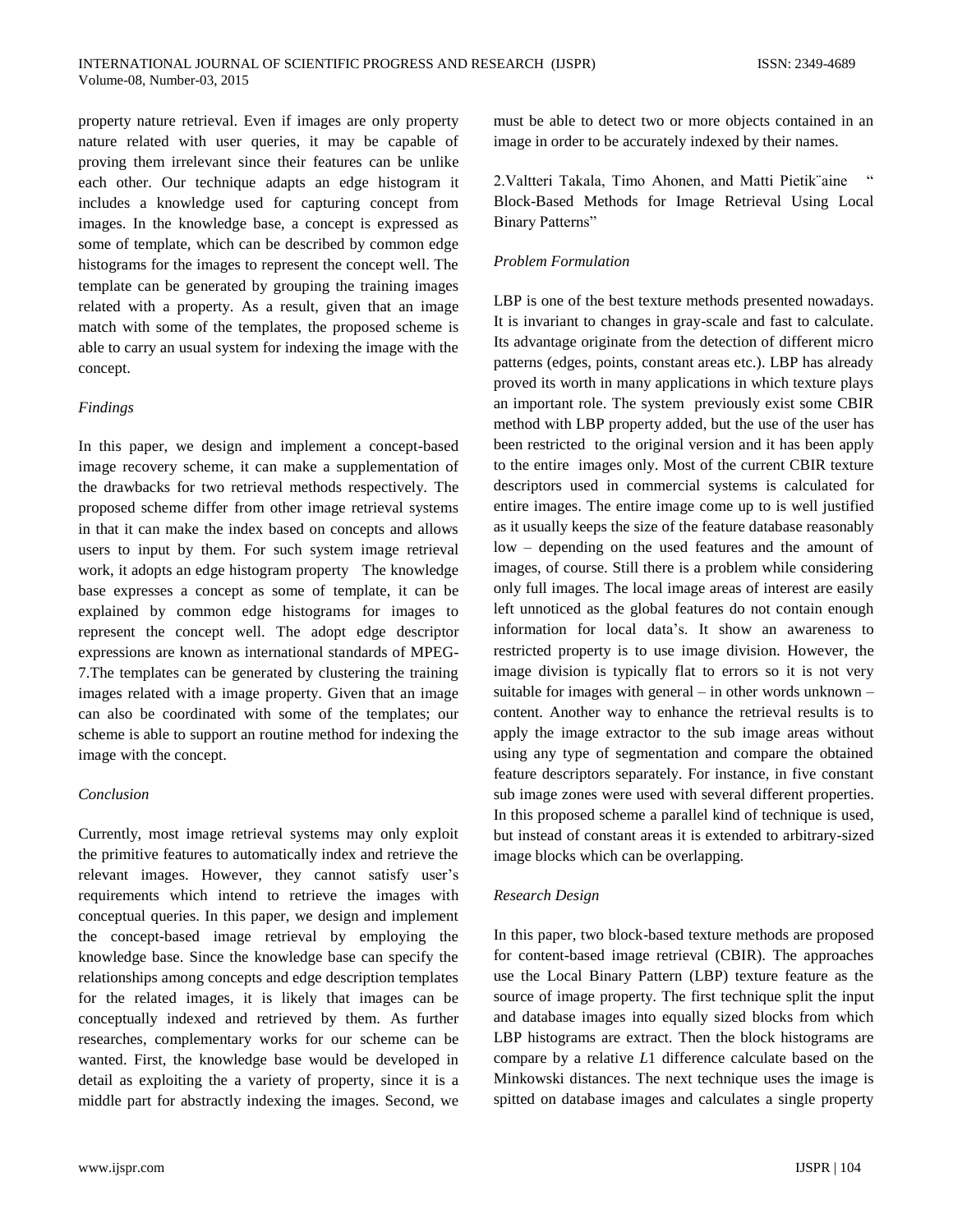property nature retrieval. Even if images are only property nature related with user queries, it may be capable of proving them irrelevant since their features can be unlike each other. Our technique adapts an edge histogram it includes a knowledge used for capturing concept from images. In the knowledge base, a concept is expressed as some of template, which can be described by common edge histograms for the images to represent the concept well. The template can be generated by grouping the training images related with a property. As a result, given that an image match with some of the templates, the proposed scheme is able to carry an usual system for indexing the image with the concept.

#### *Findings*

In this paper, we design and implement a concept-based image recovery scheme, it can make a supplementation of the drawbacks for two retrieval methods respectively. The proposed scheme differ from other image retrieval systems in that it can make the index based on concepts and allows users to input by them. For such system image retrieval work, it adopts an edge histogram property The knowledge base expresses a concept as some of template, it can be explained by common edge histograms for images to represent the concept well. The adopt edge descriptor expressions are known as international standards of MPEG-7.The templates can be generated by clustering the training images related with a image property. Given that an image can also be coordinated with some of the templates; our scheme is able to support an routine method for indexing the image with the concept.

## *Conclusion*

Currently, most image retrieval systems may only exploit the primitive features to automatically index and retrieve the relevant images. However, they cannot satisfy user's requirements which intend to retrieve the images with conceptual queries. In this paper, we design and implement the concept-based image retrieval by employing the knowledge base. Since the knowledge base can specify the relationships among concepts and edge description templates for the related images, it is likely that images can be conceptually indexed and retrieved by them. As further researches, complementary works for our scheme can be wanted. First, the knowledge base would be developed in detail as exploiting the a variety of property, since it is a middle part for abstractly indexing the images. Second, we must be able to detect two or more objects contained in an image in order to be accurately indexed by their names.

2.Valtteri Takala, Timo Ahonen, and Matti Pietik¨aine " Block-Based Methods for Image Retrieval Using Local Binary Patterns"

#### *Problem Formulation*

LBP is one of the best texture methods presented nowadays. It is invariant to changes in gray-scale and fast to calculate. Its advantage originate from the detection of different micro patterns (edges, points, constant areas etc.). LBP has already proved its worth in many applications in which texture plays an important role. The system previously exist some CBIR method with LBP property added, but the use of the user has been restricted to the original version and it has been apply to the entire images only. Most of the current CBIR texture descriptors used in commercial systems is calculated for entire images. The entire image come up to is well justified as it usually keeps the size of the feature database reasonably low – depending on the used features and the amount of images, of course. Still there is a problem while considering only full images. The local image areas of interest are easily left unnoticed as the global features do not contain enough information for local data"s. It show an awareness to restricted property is to use image division. However, the image division is typically flat to errors so it is not very suitable for images with general – in other words unknown – content. Another way to enhance the retrieval results is to apply the image extractor to the sub image areas without using any type of segmentation and compare the obtained feature descriptors separately. For instance, in five constant sub image zones were used with several different properties. In this proposed scheme a parallel kind of technique is used, but instead of constant areas it is extended to arbitrary-sized image blocks which can be overlapping.

#### *Research Design*

In this paper, two block-based texture methods are proposed for content-based image retrieval (CBIR). The approaches use the Local Binary Pattern (LBP) texture feature as the source of image property. The first technique split the input and database images into equally sized blocks from which LBP histograms are extract. Then the block histograms are compare by a relative *L*1 difference calculate based on the Minkowski distances. The next technique uses the image is spitted on database images and calculates a single property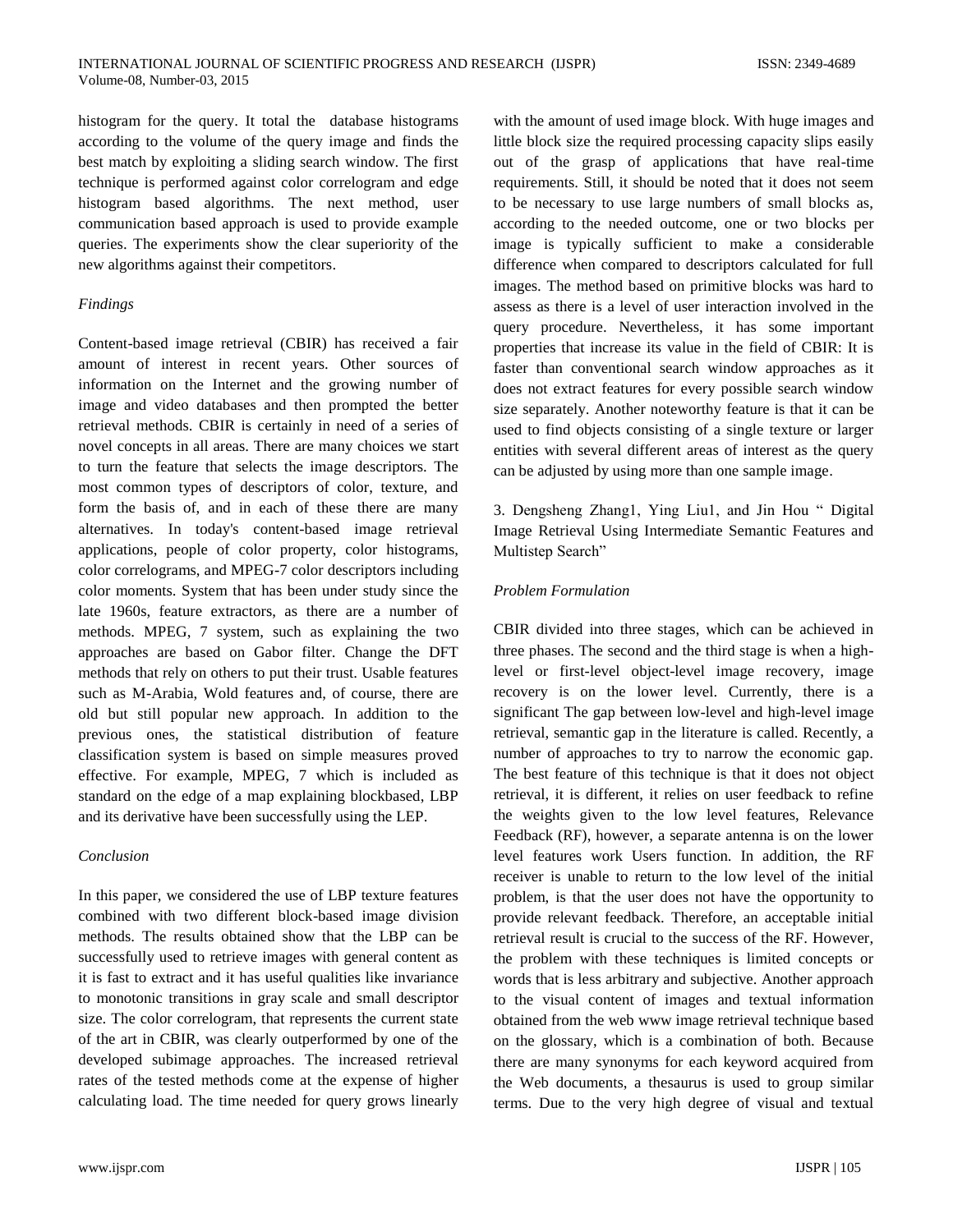histogram for the query. It total the database histograms according to the volume of the query image and finds the best match by exploiting a sliding search window. The first technique is performed against color correlogram and edge histogram based algorithms. The next method, user communication based approach is used to provide example queries. The experiments show the clear superiority of the new algorithms against their competitors.

# *Findings*

Content-based image retrieval (CBIR) has received a fair amount of interest in recent years. Other sources of information on the Internet and the growing number of image and video databases and then prompted the better retrieval methods. CBIR is certainly in need of a series of novel concepts in all areas. There are many choices we start to turn the feature that selects the image descriptors. The most common types of descriptors of color, texture, and form the basis of, and in each of these there are many alternatives. In today's content-based image retrieval applications, people of color property, color histograms, color correlograms, and MPEG-7 color descriptors including color moments. System that has been under study since the late 1960s, feature extractors, as there are a number of methods. MPEG, 7 system, such as explaining the two approaches are based on Gabor filter. Change the DFT methods that rely on others to put their trust. Usable features such as M-Arabia, Wold features and, of course, there are old but still popular new approach. In addition to the previous ones, the statistical distribution of feature classification system is based on simple measures proved effective. For example, MPEG, 7 which is included as standard on the edge of a map explaining blockbased, LBP and its derivative have been successfully using the LEP.

# *Conclusion*

In this paper, we considered the use of LBP texture features combined with two different block-based image division methods. The results obtained show that the LBP can be successfully used to retrieve images with general content as it is fast to extract and it has useful qualities like invariance to monotonic transitions in gray scale and small descriptor size. The color correlogram, that represents the current state of the art in CBIR, was clearly outperformed by one of the developed subimage approaches. The increased retrieval rates of the tested methods come at the expense of higher calculating load. The time needed for query grows linearly

with the amount of used image block. With huge images and little block size the required processing capacity slips easily out of the grasp of applications that have real-time requirements. Still, it should be noted that it does not seem to be necessary to use large numbers of small blocks as, according to the needed outcome, one or two blocks per image is typically sufficient to make a considerable difference when compared to descriptors calculated for full images. The method based on primitive blocks was hard to assess as there is a level of user interaction involved in the query procedure. Nevertheless, it has some important properties that increase its value in the field of CBIR: It is faster than conventional search window approaches as it does not extract features for every possible search window size separately. Another noteworthy feature is that it can be used to find objects consisting of a single texture or larger entities with several different areas of interest as the query can be adjusted by using more than one sample image.

3. Dengsheng Zhang1, Ying Liu1, and Jin Hou " Digital Image Retrieval Using Intermediate Semantic Features and Multistep Search"

# *Problem Formulation*

CBIR divided into three stages, which can be achieved in three phases. The second and the third stage is when a highlevel or first-level object-level image recovery, image recovery is on the lower level. Currently, there is a significant The gap between low-level and high-level image retrieval, semantic gap in the literature is called. Recently, a number of approaches to try to narrow the economic gap. The best feature of this technique is that it does not object retrieval, it is different, it relies on user feedback to refine the weights given to the low level features, Relevance Feedback (RF), however, a separate antenna is on the lower level features work Users function. In addition, the RF receiver is unable to return to the low level of the initial problem, is that the user does not have the opportunity to provide relevant feedback. Therefore, an acceptable initial retrieval result is crucial to the success of the RF. However, the problem with these techniques is limited concepts or words that is less arbitrary and subjective. Another approach to the visual content of images and textual information obtained from the web www image retrieval technique based on the glossary, which is a combination of both. Because there are many synonyms for each keyword acquired from the Web documents, a thesaurus is used to group similar terms. Due to the very high degree of visual and textual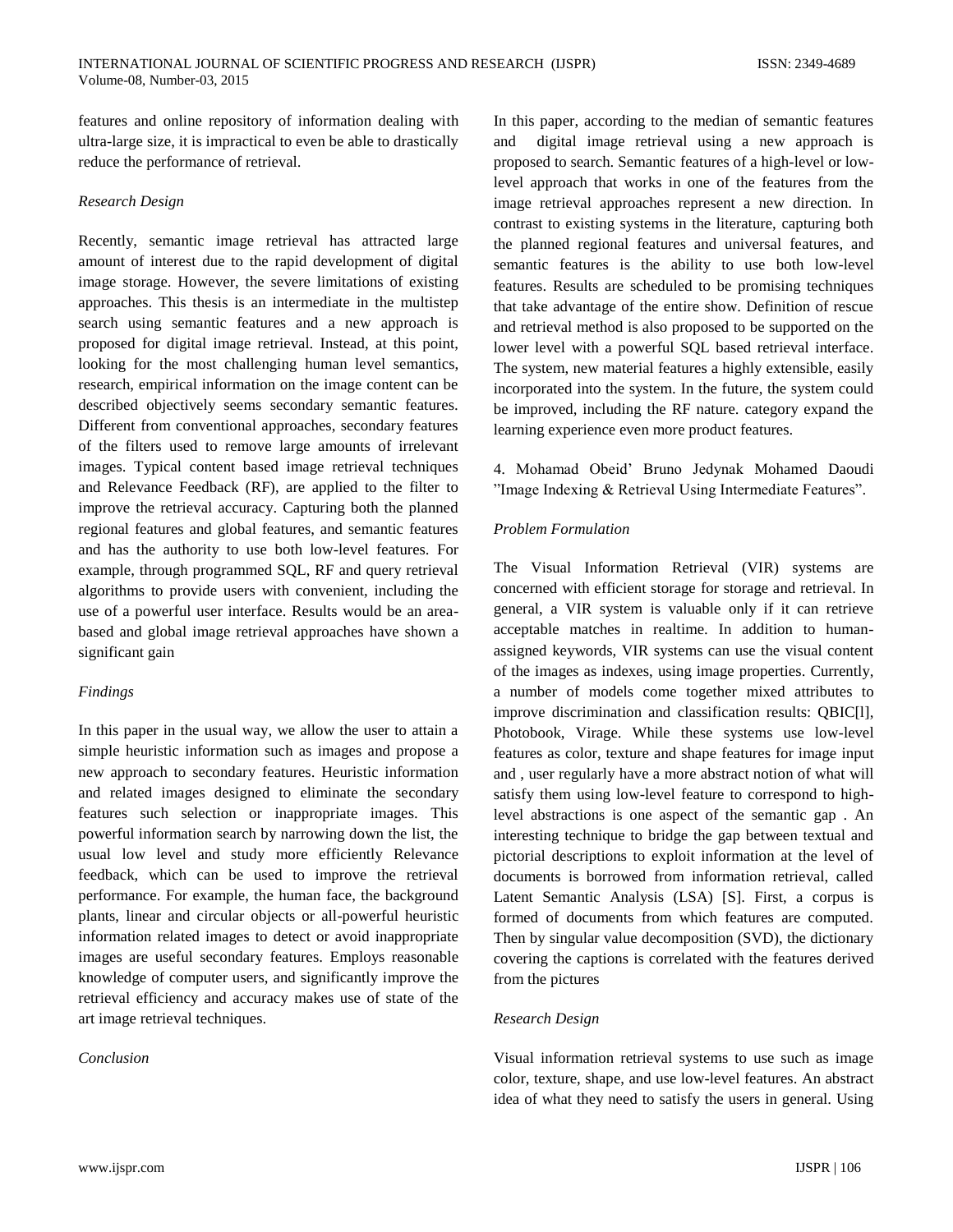features and online repository of information dealing with ultra-large size, it is impractical to even be able to drastically reduce the performance of retrieval.

#### *Research Design*

Recently, semantic image retrieval has attracted large amount of interest due to the rapid development of digital image storage. However, the severe limitations of existing approaches. This thesis is an intermediate in the multistep search using semantic features and a new approach is proposed for digital image retrieval. Instead, at this point, looking for the most challenging human level semantics, research, empirical information on the image content can be described objectively seems secondary semantic features. Different from conventional approaches, secondary features of the filters used to remove large amounts of irrelevant images. Typical content based image retrieval techniques and Relevance Feedback (RF), are applied to the filter to improve the retrieval accuracy. Capturing both the planned regional features and global features, and semantic features and has the authority to use both low-level features. For example, through programmed SQL, RF and query retrieval algorithms to provide users with convenient, including the use of a powerful user interface. Results would be an areabased and global image retrieval approaches have shown a significant gain

# *Findings*

In this paper in the usual way, we allow the user to attain a simple heuristic information such as images and propose a new approach to secondary features. Heuristic information and related images designed to eliminate the secondary features such selection or inappropriate images. This powerful information search by narrowing down the list, the usual low level and study more efficiently Relevance feedback, which can be used to improve the retrieval performance. For example, the human face, the background plants, linear and circular objects or all-powerful heuristic information related images to detect or avoid inappropriate images are useful secondary features. Employs reasonable knowledge of computer users, and significantly improve the retrieval efficiency and accuracy makes use of state of the art image retrieval techniques.

# *Conclusion*

In this paper, according to the median of semantic features and digital image retrieval using a new approach is proposed to search. Semantic features of a high-level or lowlevel approach that works in one of the features from the image retrieval approaches represent a new direction. In contrast to existing systems in the literature, capturing both the planned regional features and universal features, and semantic features is the ability to use both low-level features. Results are scheduled to be promising techniques that take advantage of the entire show. Definition of rescue and retrieval method is also proposed to be supported on the lower level with a powerful SQL based retrieval interface. The system, new material features a highly extensible, easily incorporated into the system. In the future, the system could be improved, including the RF nature. category expand the learning experience even more product features.

4. Mohamad Obeid" Bruno Jedynak Mohamed Daoudi "Image Indexing & Retrieval Using Intermediate Features".

# *Problem Formulation*

The Visual Information Retrieval (VIR) systems are concerned with efficient storage for storage and retrieval. In general, a VIR system is valuable only if it can retrieve acceptable matches in realtime. In addition to humanassigned keywords, VIR systems can use the visual content of the images as indexes, using image properties. Currently, a number of models come together mixed attributes to improve discrimination and classification results: QBIC[l], Photobook, Virage. While these systems use low-level features as color, texture and shape features for image input and , user regularly have a more abstract notion of what will satisfy them using low-level feature to correspond to highlevel abstractions is one aspect of the semantic gap . An interesting technique to bridge the gap between textual and pictorial descriptions to exploit information at the level of documents is borrowed from information retrieval, called Latent Semantic Analysis (LSA) [S]. First, a corpus is formed of documents from which features are computed. Then by singular value decomposition (SVD), the dictionary covering the captions is correlated with the features derived from the pictures

# *Research Design*

Visual information retrieval systems to use such as image color, texture, shape, and use low-level features. An abstract idea of what they need to satisfy the users in general. Using